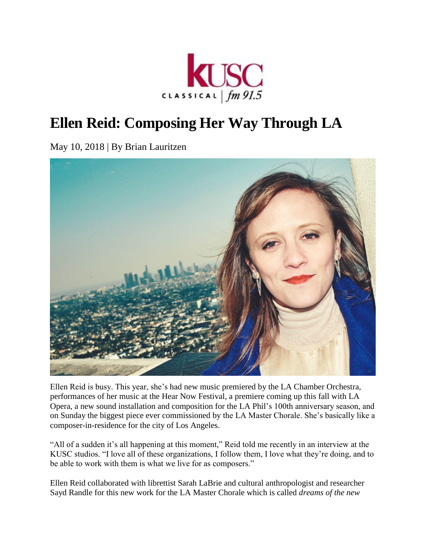

## **Ellen Reid: Composing Her Way Through LA**

May 10, 2018 | By Brian Lauritzen



Ellen Reid is busy. This year, she's had new music premiered by the [LA Chamber Orchestra,](http://lamasterchorale.org/) performances of her music at the [Hear Now Festival,](http://www.hearnowmusicfestival.com/) a premiere coming up this fall with [LA](https://www.laopera.org/)  [Opera,](https://www.laopera.org/) a new sound installation and composition for the [LA Phil'](https://www.laphil.com/)s 100th anniversary season, and on Sunday the biggest piece ever commissioned by the LA Master Chorale. She's basically like a composer-in-residence for the city of Los Angeles.

"All of a sudden it's all happening at this moment," Reid told me recently in an interview at the KUSC studios. "I love all of these organizations, I follow them, I love what they're doing, and to be able to work with them is what we live for as composers."

Ellen Reid collaborated with librettist Sarah LaBrie and cultural anthropologist and researcher Sayd Randle for this new work for the LA Master Chorale which is called *[dreams of the new](https://ellenreidmusic.com/work/dreams-of-the-new-world/)*